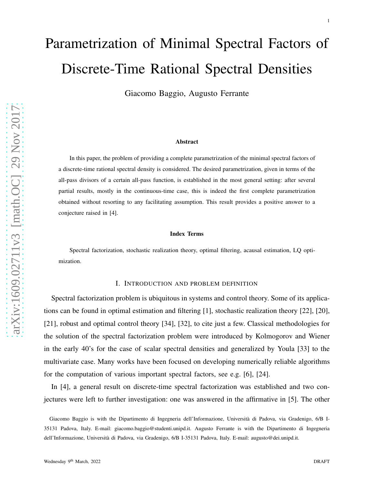# Parametrization of Minimal Spectral Factors of Discrete-Time Rational Spectral Densities

Giacomo Baggio, Augusto Ferrante

#### Abstract

In this paper, the problem of providing a complete parametrization of the minimal spectral factors of a discrete-time rational spectral density is considered. The desired parametrization, given in terms of the all-pass divisors of a certain all-pass function, is established in the most general setting: after several partial results, mostly in the continuous-time case, this is indeed the first complete parametrization obtained without resorting to any facilitating assumption. This result provides a positive answer to a conjecture raised in [4].

#### Index Terms

Spectral factorization, stochastic realization theory, optimal filtering, acausal estimation, LQ optimization.

### I. INTRODUCTION AND PROBLEM DEFINITION

Spectral factorization problem is ubiquitous in systems and control theory. Some of its applications can be found in optimal estimation and filtering [1], stochastic realization theory [22], [20], [21], robust and optimal control theory [34], [32], to cite just a few. Classical methodologies for the solution of the spectral factorization problem were introduced by Kolmogorov and Wiener in the early 40's for the case of scalar spectral densities and generalized by Youla [33] to the multivariate case. Many works have been focused on developing numerically reliable algorithms for the computation of various important spectral factors, see e.g. [6], [24].

In [4], a general result on discrete-time spectral factorization was established and two conjectures were left to further investigation: one was answered in the affirmative in [5]. The other

Giacomo Baggio is with the Dipartimento di Ingegneria dell'Informazione, Università di Padova, via Gradenigo, 6/B I-35131 Padova, Italy. E-mail: giacomo.baggio@studenti.unipd.it. Augusto Ferrante is with the Dipartimento di Ingegneria dell'Informazione, Università di Padova, via Gradenigo, 6/B I-35131 Padova, Italy. E-mail: augusto@dei.unipd.it.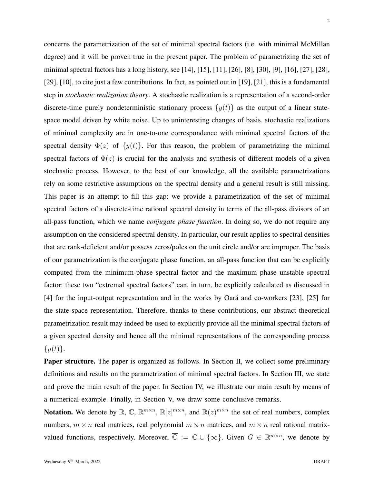concerns the parametrization of the set of minimal spectral factors (i.e. with minimal McMillan degree) and it will be proven true in the present paper. The problem of parametrizing the set of minimal spectral factors has a long history, see [14], [15], [11], [26], [8], [30], [9], [16], [27], [28], [29], [10], to cite just a few contributions. In fact, as pointed out in [19], [21], this is a fundamental step in *stochastic realization theory*. A stochastic realization is a representation of a second-order discrete-time purely nondeterministic stationary process  $\{y(t)\}\$ as the output of a linear statespace model driven by white noise. Up to uninteresting changes of basis, stochastic realizations of minimal complexity are in one-to-one correspondence with minimal spectral factors of the spectral density  $\Phi(z)$  of  $\{y(t)\}\)$ . For this reason, the problem of parametrizing the minimal spectral factors of  $\Phi(z)$  is crucial for the analysis and synthesis of different models of a given stochastic process. However, to the best of our knowledge, all the available parametrizations rely on some restrictive assumptions on the spectral density and a general result is still missing. This paper is an attempt to fill this gap: we provide a parametrization of the set of minimal spectral factors of a discrete-time rational spectral density in terms of the all-pass divisors of an all-pass function, which we name *conjugate phase function*. In doing so, we do not require any assumption on the considered spectral density. In particular, our result applies to spectral densities that are rank-deficient and/or possess zeros/poles on the unit circle and/or are improper. The basis of our parametrization is the conjugate phase function, an all-pass function that can be explicitly computed from the minimum-phase spectral factor and the maximum phase unstable spectral factor: these two "extremal spectral factors" can, in turn, be explicitly calculated as discussed in  $[4]$  for the input-output representation and in the works by Oară and co-workers  $[23]$ ,  $[25]$  for the state-space representation. Therefore, thanks to these contributions, our abstract theoretical parametrization result may indeed be used to explicitly provide all the minimal spectral factors of a given spectral density and hence all the minimal representations of the corresponding process  $\{y(t)\}.$ 

**Paper structure.** The paper is organized as follows. In Section II, we collect some preliminary definitions and results on the parametrization of minimal spectral factors. In Section III, we state and prove the main result of the paper. In Section IV, we illustrate our main result by means of a numerical example. Finally, in Section V, we draw some conclusive remarks.

**Notation.** We denote by  $\mathbb{R}$ ,  $\mathbb{C}$ ,  $\mathbb{R}^{m \times n}$ ,  $\mathbb{R}[z]^{m \times n}$ , and  $\mathbb{R}(z)^{m \times n}$  the set of real numbers, complex numbers,  $m \times n$  real matrices, real polynomial  $m \times n$  matrices, and  $m \times n$  real rational matrixvalued functions, respectively. Moreover,  $\overline{\mathbb{C}} := \mathbb{C} \cup \{\infty\}$ . Given  $G \in \mathbb{R}^{m \times n}$ , we denote by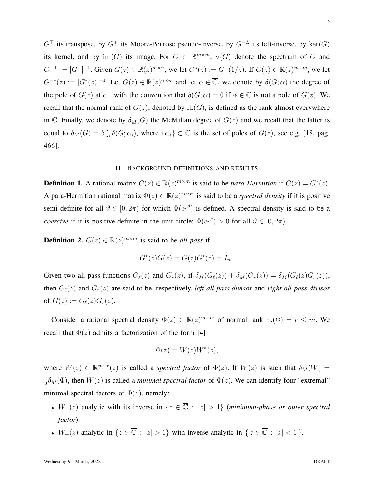$G^{\top}$  its transpose, by  $G^+$  its Moore-Penrose pseudo-inverse, by  $G^{-L}$  its left-inverse, by ker $(G)$ its kernel, and by  $\text{im}(G)$  its image. For  $G \in \mathbb{R}^{m \times m}$ ,  $\sigma(G)$  denote the spectrum of G and  $G^{-\top} := [G^{\top}]^{-1}$ . Given  $G(z) \in \mathbb{R}(z)^{m \times n}$ , we let  $G^*(z) := G^{\top}(1/z)$ . If  $G(z) \in \mathbb{R}(z)^{m \times m}$ , we let  $G^{-*}(z) := [G^{*}(z)]^{-1}$ . Let  $G(z) \in \mathbb{R}(z)^{n \times m}$  and let  $\alpha \in \overline{\mathbb{C}}$ , we denote by  $\delta(G; \alpha)$  the degree of the pole of  $G(z)$  at  $\alpha$ , with the convention that  $\delta(G; \alpha) = 0$  if  $\alpha \in \overline{\mathbb{C}}$  is not a pole of  $G(z)$ . We recall that the normal rank of  $G(z)$ , denoted by  $rk(G)$ , is defined as the rank almost everywhere in C. Finally, we denote by  $\delta_M(G)$  the McMillan degree of  $G(z)$  and we recall that the latter is equal to  $\delta_M(G) = \sum_i \delta(G; \alpha_i)$ , where  $\{\alpha_i\} \subset \overline{\mathbb{C}}$  is the set of poles of  $G(z)$ , see e.g. [18, pag. 466].

### II. BACKGROUND DEFINITIONS AND RESULTS

**Definition 1.** A rational matrix  $G(z) \in \mathbb{R}(z)^{m \times m}$  is said to be *para-Hermitian* if  $G(z) = G^*(z)$ . A para-Hermitian rational matrix  $\Phi(z) \in \mathbb{R}(z)^{m \times m}$  is said to be a *spectral density* if it is positive semi-definite for all  $\vartheta \in [0, 2\pi)$  for which  $\Phi(e^{j\vartheta})$  is defined. A spectral density is said to be a *coercive* if it is positive definite in the unit circle:  $\Phi(e^{j\vartheta}) > 0$  for all  $\vartheta \in [0, 2\pi)$ .

**Definition 2.**  $G(z) \in \mathbb{R}(z)^{m \times m}$  is said to be *all-pass* if

$$
G^*(z)G(z) = G(z)G^*(z) = I_m.
$$

Given two all-pass functions  $G_{\ell}(z)$  and  $G_{r}(z)$ , if  $\delta_M(G_{\ell}(z)) + \delta_M(G_{r}(z)) = \delta_M(G_{\ell}(z)G_{r}(z)),$ then Gℓ(z) and Gr(z) are said to be, respectively, *left all-pass divisor* and *right all-pass divisor* of  $G(z) := G_{\ell}(z) G_r(z)$ .

Consider a rational spectral density  $\Phi(z) \in \mathbb{R}(z)^{m \times m}$  of normal rank  $\text{rk}(\Phi) = r \leq m$ . We recall that  $\Phi(z)$  admits a factorization of the form [4]

$$
\Phi(z) = W(z)W^*(z),
$$

where  $W(z) \in \mathbb{R}^{m \times r}(z)$  is called a *spectral factor* of  $\Phi(z)$ . If  $W(z)$  is such that  $\delta_M(W) =$ 1  $\frac{1}{2}\delta_M(\Phi)$ , then  $W(z)$  is called a *minimal spectral factor* of  $\Phi(z)$ . We can identify four "extremal" minimal spectral factors of  $\Phi(z)$ , namely:

- $W_-(z)$  analytic with its inverse in  $\{z \in \overline{\mathbb{C}} : |z| > 1\}$  (*minimum-phase or outer spectral factor*).
- $W_+(z)$  analytic in  $\{z \in \overline{\mathbb{C}} : |z| > 1\}$  with inverse analytic in  $\{z \in \overline{\mathbb{C}} : |z| < 1\}$ .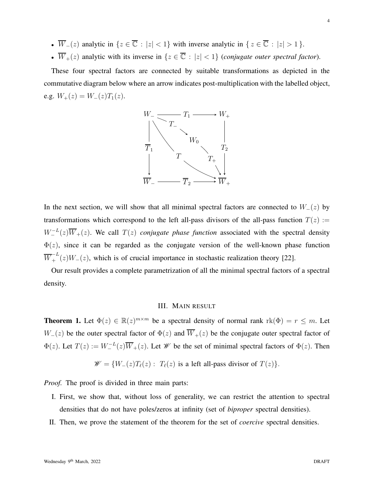- $\overline{W}_-(z)$  analytic in  $\{z \in \overline{\mathbb{C}} : |z| < 1\}$  with inverse analytic in  $\{z \in \overline{\mathbb{C}} : |z| > 1\}$ .
- $\overline{W}_+(z)$  analytic with its inverse in  $\{z \in \overline{\mathbb{C}} : |z| < 1\}$  (*conjugate outer spectral factor*).

These four spectral factors are connected by suitable transformations as depicted in the commutative diagram below where an arrow indicates post-multiplication with the labelled object, e.g.  $W_+(z) = W_-(z)T_1(z)$ .



In the next section, we will show that all minimal spectral factors are connected to  $W_-(z)$  by transformations which correspond to the left all-pass divisors of the all-pass function  $T(z) :=$  $W_-^{-L}(z)\overline{W}_+(z)$ . We call  $T(z)$  *conjugate phase function* associated with the spectral density  $\Phi(z)$ , since it can be regarded as the conjugate version of the well-known phase function  $\overline{W}_+^{-L}(z)W_-(z)$ , which is of crucial importance in stochastic realization theory [22].

Our result provides a complete parametrization of all the minimal spectral factors of a spectral density.

## III. MAIN RESULT

**Theorem 1.** Let  $\Phi(z) \in \mathbb{R}(z)^{m \times m}$  be a spectral density of normal rank  $rk(\Phi) = r \leq m$ . Let  $W_-(z)$  be the outer spectral factor of  $\Phi(z)$  and  $\overline{W}_+(z)$  be the conjugate outer spectral factor of  $\Phi(z)$ . Let  $T(z) := W_{-}^{-L}(z)\overline{W}_{+}(z)$ . Let  $W$  be the set of minimal spectral factors of  $\Phi(z)$ . Then

$$
\mathscr{W} = \{W_{-}(z)T_{\ell}(z): T_{\ell}(z) \text{ is a left all-pass divisor of } T(z)\}.
$$

*Proof.* The proof is divided in three main parts:

- I. First, we show that, without loss of generality, we can restrict the attention to spectral densities that do not have poles/zeros at infinity (set of *biproper* spectral densities).
- II. Then, we prove the statement of the theorem for the set of *coercive* spectral densities.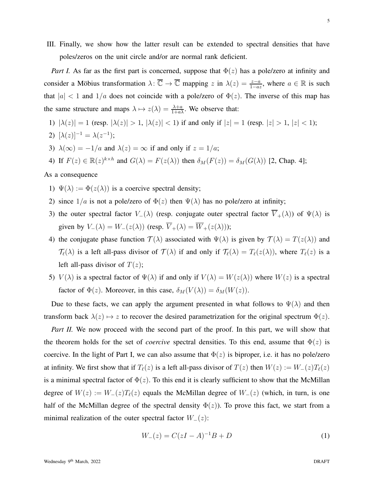III. Finally, we show how the latter result can be extended to spectral densities that have poles/zeros on the unit circle and/or are normal rank deficient.

*Part I.* As far as the first part is concerned, suppose that  $\Phi(z)$  has a pole/zero at infinity and consider a Möbius transformation  $\lambda: \overline{\mathbb{C}} \to \overline{\mathbb{C}}$  mapping z in  $\lambda(z) = \frac{z-a}{1-az}$ , where  $a \in \mathbb{R}$  is such that  $|a| < 1$  and  $1/a$  does not coincide with a pole/zero of  $\Phi(z)$ . The inverse of this map has the same structure and maps  $\lambda \mapsto z(\lambda) = \frac{\lambda + a}{1 + a\lambda}$ . We observe that:

- 1)  $|\lambda(z)| = 1$  (resp.  $|\lambda(z)| > 1$ ,  $|\lambda(z)| < 1$ ) if and only if  $|z| = 1$  (resp.  $|z| > 1$ ,  $|z| < 1$ );
- 2)  $[\lambda(z)]^{-1} = \lambda(z^{-1});$
- 3)  $\lambda(\infty) = -1/a$  and  $\lambda(z) = \infty$  if and only if  $z = 1/a$ ;

4) If 
$$
F(z) \in \mathbb{R}(z)^{k \times h}
$$
 and  $G(\lambda) = F(z(\lambda))$  then  $\delta_M(F(z)) = \delta_M(G(\lambda))$  [2, Chap. 4];

## As a consequence

- 1)  $\Psi(\lambda) := \Phi(z(\lambda))$  is a coercive spectral density;
- 2) since  $1/a$  is not a pole/zero of  $\Phi(z)$  then  $\Psi(\lambda)$  has no pole/zero at infinity;
- 3) the outer spectral factor  $V_-(\lambda)$  (resp. conjugate outer spectral factor  $\overline{V}_+(\lambda)$ ) of  $\Psi(\lambda)$  is given by  $V_-(\lambda) = W_-(z(\lambda))$  (resp.  $\overline{V}_+(\lambda) = \overline{W}_+(z(\lambda))$ );
- 4) the conjugate phase function  $\mathcal{T}(\lambda)$  associated with  $\Psi(\lambda)$  is given by  $\mathcal{T}(\lambda) = T(z(\lambda))$  and  $\mathcal{T}_{\ell}(\lambda)$  is a left all-pass divisor of  $\mathcal{T}(\lambda)$  if and only if  $\mathcal{T}_{\ell}(\lambda) = T_{\ell}(z(\lambda))$ , where  $T_{\ell}(z)$  is a left all-pass divisor of  $T(z)$ ;
- 5)  $V(\lambda)$  is a spectral factor of  $\Psi(\lambda)$  if and only if  $V(\lambda) = W(z(\lambda))$  where  $W(z)$  is a spectral factor of  $\Phi(z)$ . Moreover, in this case,  $\delta_M(V(\lambda)) = \delta_M(W(z))$ .

Due to these facts, we can apply the argument presented in what follows to  $\Psi(\lambda)$  and then transform back  $\lambda(z) \mapsto z$  to recover the desired parametrization for the original spectrum  $\Phi(z)$ .

*Part II.* We now proceed with the second part of the proof. In this part, we will show that the theorem holds for the set of *coercive* spectral densities. To this end, assume that  $\Phi(z)$  is coercive. In the light of Part I, we can also assume that  $\Phi(z)$  is biproper, i.e. it has no pole/zero at infinity. We first show that if  $T_{\ell}(z)$  is a left all-pass divisor of  $T(z)$  then  $W(z) := W_{-}(z)T_{\ell}(z)$ is a minimal spectral factor of  $\Phi(z)$ . To this end it is clearly sufficient to show that the McMillan degree of  $W(z) := W_-(z)T_\ell(z)$  equals the McMillan degree of  $W_-(z)$  (which, in turn, is one half of the McMillan degree of the spectral density  $\Phi(z)$ ). To prove this fact, we start from a minimal realization of the outer spectral factor  $W_-(z)$ :

$$
W_{-}(z) = C(zI - A)^{-1}B + D
$$
 (1)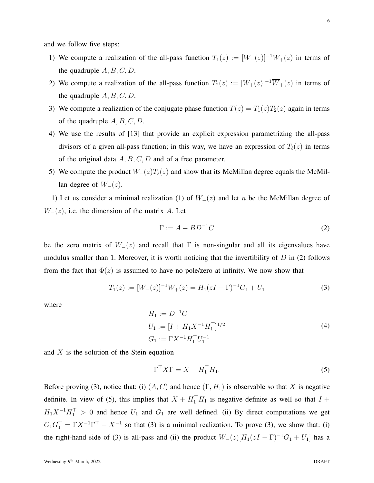and we follow five steps:

- 1) We compute a realization of the all-pass function  $T_1(z) := [W_-(z)]^{-1}W_+(z)$  in terms of the quadruple  $A, B, C, D$ .
- 2) We compute a realization of the all-pass function  $T_2(z) := [W_+(z)]^{-1} \overline{W}_+(z)$  in terms of the quadruple  $A, B, C, D$ .
- 3) We compute a realization of the conjugate phase function  $T(z) = T_1(z)T_2(z)$  again in terms of the quadruple  $A, B, C, D$ .
- 4) We use the results of [13] that provide an explicit expression parametrizing the all-pass divisors of a given all-pass function; in this way, we have an expression of  $T_{\ell}(z)$  in terms of the original data  $A, B, C, D$  and of a free parameter.
- 5) We compute the product  $W_-(z)T_\ell(z)$  and show that its McMillan degree equals the McMillan degree of  $W_-(z)$ .

1) Let us consider a minimal realization (1) of  $W_-(z)$  and let n be the McMillan degree of  $W_-(z)$ , i.e. the dimension of the matrix A. Let

$$
\Gamma := A - BD^{-1}C \tag{2}
$$

be the zero matrix of  $W_-(z)$  and recall that Γ is non-singular and all its eigenvalues have modulus smaller than 1. Moreover, it is worth noticing that the invertibility of  $D$  in (2) follows from the fact that  $\Phi(z)$  is assumed to have no pole/zero at infinity. We now show that

$$
T_1(z) := [W_-(z)]^{-1}W_+(z) = H_1(zI - \Gamma)^{-1}G_1 + U_1
$$
\n(3)

where

$$
H_1 := D^{-1}C
$$
  
\n
$$
U_1 := [I + H_1 X^{-1} H_1^{\top}]^{1/2}
$$
  
\n
$$
G_1 := \Gamma X^{-1} H_1^{\top} U_1^{-1}
$$
\n(4)

and  $X$  is the solution of the Stein equation

$$
\Gamma^{\top} X \Gamma = X + H_1^{\top} H_1. \tag{5}
$$

Before proving (3), notice that: (i)  $(A, C)$  and hence  $(\Gamma, H_1)$  is observable so that X is negative definite. In view of (5), this implies that  $X + H_1^{\perp}H_1$  is negative definite as well so that  $I +$  $H_1X^{-1}H_1^{\top} > 0$  and hence  $U_1$  and  $G_1$  are well defined. (ii) By direct computations we get  $G_1G_1^{\top} = \Gamma X^{-1} \Gamma^{\top} - X^{-1}$  so that (3) is a minimal realization. To prove (3), we show that: (i) the right-hand side of (3) is all-pass and (ii) the product  $W_-(z)[H_1(zI - \Gamma)^{-1}G_1 + U_1]$  has a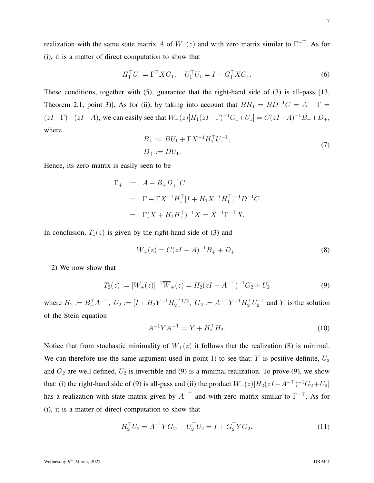realization with the same state matrix A of  $W_-(z)$  and with zero matrix similar to  $\Gamma^{-\perp}$ . As for (i), it is a matter of direct computation to show that

$$
H_1^\top U_1 = \Gamma^\top X G_1, \quad U_1^\top U_1 = I + G_1^\top X G_1. \tag{6}
$$

These conditions, together with (5), guarantee that the right-hand side of (3) is all-pass [13, Theorem 2.1, point 3)]. As for (ii), by taking into account that  $BH_1 = BD^{-1}C = A - \Gamma =$  $(zI-\Gamma) - (zI-A)$ , we can easily see that  $W_-(z)[H_1(zI-\Gamma)^{-1}G_1+U_1] = C(zI-A)^{-1}B_+ + D_+$ , where

$$
B_{+} := BU_1 + \Gamma X^{-1} H_1^{\top} U_1^{-1},
$$
  
\n
$$
D_{+} := DU_1.
$$
\n(7)

Hence, its zero matrix is easily seen to be

$$
\Gamma_+ := A - B_+ D_+^{-1} C
$$
  
=  $\Gamma - \Gamma X^{-1} H_1^{\top} [I + H_1 X^{-1} H_1^{\top}]^{-1} D^{-1} C$   
=  $\Gamma (X + H_1 H_1^{\top})^{-1} X = X^{-1} \Gamma^{-\top} X.$ 

In conclusion,  $T_1(z)$  is given by the right-hand side of (3) and

$$
W_{+}(z) = C(zI - A)^{-1}B_{+} + D_{+}.
$$
\n(8)

2) We now show that

$$
T_2(z) := [W_+(z)]^{-1} \overline{W}_+(z) = H_2(zI - A^{-\top})^{-1} G_2 + U_2
$$
\n(9)

where  $H_2 := B_+^{\top} A^{-\top}$ ,  $U_2 := [I + H_2 Y^{-1} H_2^{\top}]^{1/2}$ ,  $G_2 := A^{-\top} Y^{-1} H_2^{\top} U_2^{-1}$  and Y is the solution of the Stein equation

$$
A^{-1}YA^{-\top} = Y + H_2^{\top}H_2.
$$
 (10)

Notice that from stochastic minimality of  $W_+(z)$  it follows that the realization (8) is minimal. We can therefore use the same argument used in point 1) to see that: Y is positive definite,  $U_2$ and  $G_2$  are well defined,  $U_2$  is invertible and (9) is a minimal realization. To prove (9), we show that: (i) the right-hand side of (9) is all-pass and (ii) the product  $W_+(z)[H_2(zI-A^{-\top})^{-1}G_2+U_2]$ has a realization with state matrix given by  $A^{-+}$  and with zero matrix similar to  $\Gamma^{-+}$ . As for (i), it is a matter of direct computation to show that

$$
H_2^{\top} U_2 = A^{-1} Y G_2, \quad U_2^{\top} U_2 = I + G_2^{\top} Y G_2. \tag{11}
$$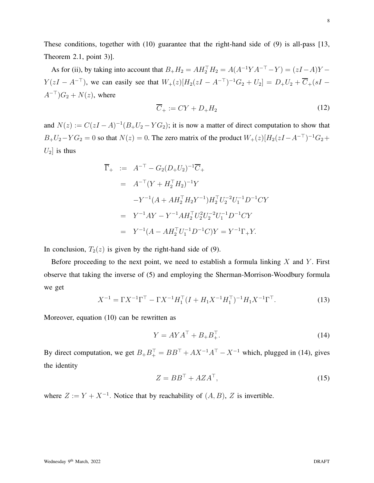8

These conditions, together with (10) guarantee that the right-hand side of (9) is all-pass [13, Theorem 2.1, point 3)].

As for (ii), by taking into account that  $B_+H_2 = AH_2^{\top}H_2 = A(A^{-1}YA^{-\top} - Y) = (zI - A)Y - Y$  $Y(zI - A^{-\top})$ , we can easily see that  $W_+(z)[H_2(zI - A^{-\top})^{-1}G_2 + U_2] = D_+U_2 + \overline{C}_+(sI A^{-\top}$ ) $G_2 + N(z)$ , where

$$
\overline{C}_{+} := CY + D_{+}H_{2} \tag{12}
$$

and  $N(z) := C(zI - A)^{-1}(B_+U_2 - YG_2)$ ; it is now a matter of direct computation to show that  $B_+U_2-YG_2=0$  so that  $N(z)=0$ . The zero matrix of the product  $W_+(z)[H_2(zI-A^{-\top})^{-1}G_2+$  $U_2$  is thus

$$
\begin{aligned}\n\overline{\Gamma}_{+} &:= A^{-\top} - G_{2}(D_{+}U_{2})^{-1}\overline{C}_{+} \\
&= A^{-\top}(Y + H_{2}^{\top}H_{2})^{-1}Y \\
&-Y^{-1}(A + AH_{2}^{\top}H_{2}Y^{-1})H_{2}^{\top}U_{2}^{-2}U_{1}^{-1}D^{-1}CY \\
&= Y^{-1}AY - Y^{-1}AH_{2}^{\top}U_{2}^{2}U_{2}^{-2}U_{1}^{-1}D^{-1}CY \\
&= Y^{-1}(A - AH_{2}^{\top}U_{1}^{-1}D^{-1}C)Y = Y^{-1}\Gamma_{+}Y.\n\end{aligned}
$$

In conclusion,  $T_2(z)$  is given by the right-hand side of (9).

Before proceeding to the next point, we need to establish a formula linking  $X$  and  $Y$ . First observe that taking the inverse of (5) and employing the Sherman-Morrison-Woodbury formula we get

$$
X^{-1} = \Gamma X^{-1} \Gamma^{\top} - \Gamma X^{-1} H_1^{\top} (I + H_1 X^{-1} H_1^{\top})^{-1} H_1 X^{-1} \Gamma^{\top}.
$$
 (13)

Moreover, equation (10) can be rewritten as

$$
Y = AYA^{\top} + B_+B_+^{\top}.
$$
\n<sup>(14)</sup>

By direct computation, we get  $B_+B_+^{\top} = BB^{\top} + AX^{-1}A^{\top} - X^{-1}$  which, plugged in (14), gives the identity

$$
Z = BB^{\top} + A Z A^{\top},\tag{15}
$$

where  $Z := Y + X^{-1}$ . Notice that by reachability of  $(A, B)$ , Z is invertible.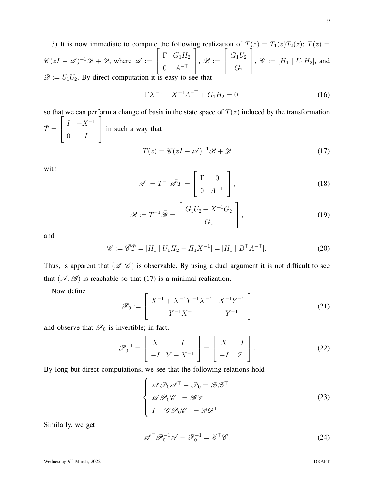3) It is now immediate to compute the following realization of  $T(z) = T_1(z)T_2(z)$ :  $T(z) =$  $\overline{\mathscr{C}}(zI - \overline{\mathscr{A}})^{-1}\overline{\mathscr{B}} + \mathscr{D}$ , where  $\overline{\mathscr{A}} :=$  $\sqrt{ }$  $\overline{\phantom{a}}$  $\Gamma$   $G_1H_2$  $0 \quad A^{-\perp}$ 1  $\Big\vert\,,\,\bar{\mathscr{B}}:=$  $\sqrt{ }$  $\overline{1}$  $G_1U_2$  $\, G_{2} \,$ T  $\Big\}, \overline{\mathscr{C}} := [H_1 \mid U_1 H_2], \text{ and}$  $\mathscr{D} := U_1U_2$ . By direct computation it is easy to see that

$$
-\Gamma X^{-1} + X^{-1} A^{-\top} + G_1 H_2 = 0 \tag{16}
$$

so that we can perform a change of basis in the state space of  $T(z)$  induced by the transformation  $\bar{T} =$  $\sqrt{ }$  $\overline{\phantom{a}}$  $I \quad -X^{-1}$  $0 \qquad I$ 1 in such a way that

$$
T(z) = \mathscr{C}(zI - \mathscr{A})^{-1}\mathscr{B} + \mathscr{D}
$$
\n(17)

with

$$
\mathscr{A} := \bar{T}^{-1} \bar{\mathscr{A}} \bar{T} = \begin{bmatrix} \Gamma & 0 \\ 0 & A^{-\top} \end{bmatrix},
$$
(18)

$$
\mathcal{B} := \overline{T}^{-1} \overline{\mathcal{B}} = \begin{bmatrix} G_1 U_2 + X^{-1} G_2 \\ G_2 \end{bmatrix},
$$
\n(19)

and

$$
\mathscr{C} := \bar{\mathscr{C}} \bar{T} = [H_1 | U_1 H_2 - H_1 X^{-1}] = [H_1 | B^{\top} A^{-\top}]. \tag{20}
$$

Thus, is apparent that  $(\mathscr{A}, \mathscr{C})$  is observable. By using a dual argument it is not difficult to see that  $(\mathscr{A}, \mathscr{B})$  is reachable so that (17) is a minimal realization.

Now define

$$
\mathscr{P}_0 := \left[ \begin{array}{cc} X^{-1} + X^{-1}Y^{-1}X^{-1} & X^{-1}Y^{-1} \\ Y^{-1}X^{-1} & Y^{-1} \end{array} \right] \tag{21}
$$

and observe that  $\mathcal{P}_0$  is invertible; in fact,

$$
\mathscr{P}_0^{-1} = \left[ \begin{array}{cc} X & -I \\ -I & Y + X^{-1} \end{array} \right] = \left[ \begin{array}{cc} X & -I \\ -I & Z \end{array} \right].\tag{22}
$$

By long but direct computations, we see that the following relations hold

$$
\begin{cases}\n\mathscr{A}\mathscr{P}_{0}\mathscr{A}^{\top} - \mathscr{P}_{0} = \mathscr{B}\mathscr{B}^{\top} \\
\mathscr{A}\mathscr{P}_{0}\mathscr{C}^{\top} = \mathscr{B}\mathscr{D}^{\top} \\
I + \mathscr{C}\mathscr{P}_{0}\mathscr{C}^{\top} = \mathscr{D}\mathscr{D}^{\top}\n\end{cases}
$$
\n(23)

Similarly, we get

$$
\mathscr{A}^{\top} \mathscr{P}_0^{-1} \mathscr{A} - \mathscr{P}_0^{-1} = \mathscr{C}^{\top} \mathscr{C}.
$$
 (24)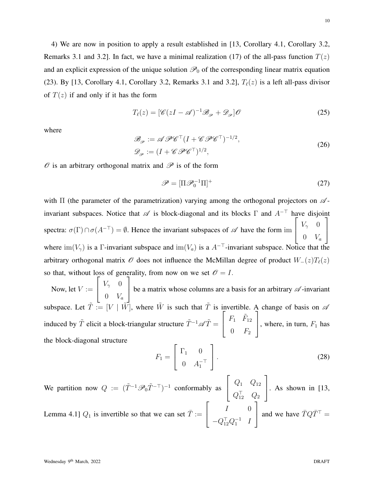10

4) We are now in position to apply a result established in [13, Corollary 4.1, Corollary 3.2, Remarks 3.1 and 3.2]. In fact, we have a minimal realization (17) of the all-pass function  $T(z)$ and an explicit expression of the unique solution  $\mathcal{P}_0$  of the corresponding linear matrix equation (23). By [13, Corollary 4.1, Corollary 3.2, Remarks 3.1 and 3.2],  $T_{\ell}(z)$  is a left all-pass divisor of  $T(z)$  if and only if it has the form

$$
T_{\ell}(z) = [\mathscr{C}(zI - \mathscr{A})^{-1}\mathscr{B}_{\mathscr{P}} + \mathscr{D}_{\mathscr{P}}]\mathscr{O}
$$
\n
$$
(25)
$$

where

$$
\mathcal{B}_{\varphi} := \mathcal{A} \mathcal{P} \mathcal{C}^{\top} (I + \mathcal{C} \mathcal{P} \mathcal{C}^{\top})^{-1/2}, \n\mathcal{D}_{\varphi} := (I + \mathcal{C} \mathcal{P} \mathcal{C}^{\top})^{1/2},
$$
\n(26)

 $\mathscr O$  is an arbitrary orthogonal matrix and  $\mathscr P$  is of the form

$$
\mathscr{P} = [\Pi \mathscr{P}_0^{-1} \Pi]^+ \tag{27}
$$

with  $\Pi$  (the parameter of the parametrization) varying among the orthogonal projectors on  $\mathscr A$ invariant subspaces. Notice that  $\mathscr A$  is block-diagonal and its blocks  $\Gamma$  and  $A^{-\top}$  have disjoint spectra:  $\sigma(\Gamma) \cap \sigma(A^{-\top}) = \emptyset$ . Hence the invariant subspaces of  $\mathscr A$  have the form im  $\sqrt{ }$  $\overline{1}$  $V_\gamma=0$  $0$   $V_a$ 1  $\overline{a}$ where  $\text{im}(V_{\gamma})$  is a Γ-invariant subspace and  $\text{im}(V_a)$  is a  $A^{-\top}$ -invariant subspace. Notice that the arbitrary orthogonal matrix  $\mathcal O$  does not influence the McMillan degree of product  $W_-(z)T_\ell(z)$ so that, without loss of generality, from now on we set  $\mathcal{O} = I$ .

Now, let  $V :=$  $\sqrt{ }$  $\overline{1}$  $V_\gamma=0$  $0$   $V_a$ 1 be a matrix whose columns are a basis for an arbitrary  $\mathscr A$ -invariant subspace. Let  $\tilde{T} := [V \mid \tilde{W}]$ , where  $\tilde{W}$  is such that  $\tilde{T}$  is invertible. A change of basis on  $\mathscr A$ induced by  $\tilde{T}$  elicit a block-triangular structure  $\tilde{T}^{-1}\mathscr{A}\tilde{T}$  =  $\sqrt{ }$  $\overline{1}$  $F_1$   $\tilde{F}_{12}$  $0$   $F_2$ 1 , where, in turn,  $F_1$  has the block-diagonal structure

$$
F_1 = \begin{bmatrix} \Gamma_1 & 0 \\ 0 & A_1^{-\top} \end{bmatrix}.
$$
 (28)

We partition now  $Q := (\tilde{T}^{-1} \mathscr{P}_0 \tilde{T}^{-\top})^{-1}$  conformably as  $\sqrt{ }$  $\overline{1}$  $Q_1$   $Q_{12}$  $Q_{12}^+$   $Q_2$ 1  $\Big|$ . As shown in [13, Lemma 4.1]  $Q_1$  is invertible so that we can set  $\overline{T} :=$  $\sqrt{ }$  $\overline{1}$  $I \qquad 0$  $-Q_{12}^{\top}Q_1^{-1}$  *I* 1 and we have  $\overline{T}Q\overline{T}^{\top} =$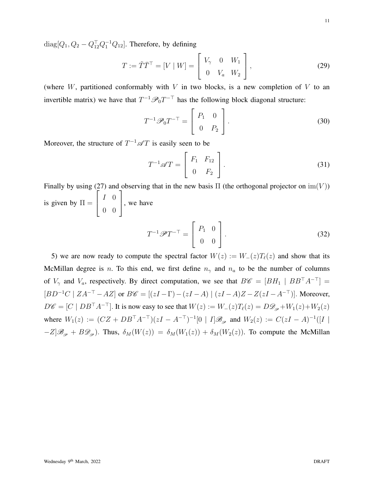$diag[Q_1, Q_2 - Q_{12}^{\top}Q_1^{-1}Q_{12}]$ . Therefore, by defining

$$
T := \tilde{T}\bar{T}^{\top} = [V \mid W] = \begin{bmatrix} V_{\gamma} & 0 & W_1 \\ 0 & V_a & W_2 \end{bmatrix},
$$
\n(29)

(where  $W$ , partitioned conformably with  $V$  in two blocks, is a new completion of  $V$  to an invertible matrix) we have that  $T^{-1}\mathcal{P}_0T^{-\top}$  has the following block diagonal structure:

$$
T^{-1}\mathscr{P}_0 T^{-\top} = \left[\begin{array}{cc} P_1 & 0\\ 0 & P_2 \end{array}\right].\tag{30}
$$

Moreover, the structure of  $T^{-1}\mathscr{A}T$  is easily seen to be

$$
T^{-1}\mathscr{A}T = \left[\begin{array}{cc} F_1 & F_{12} \\ 0 & F_2 \end{array}\right].\tag{31}
$$

Finally by using (27) and observing that in the new basis  $\Pi$  (the orthogonal projector on  $\text{im}(V)$ ) is given by  $\Pi =$  $\sqrt{ }$  $\overline{\phantom{a}}$  $I \quad 0$ 0 0 1 , we have  $\left[\begin{array}{cc} P_1 & 0 \end{array}\right]$ 

$$
T^{-1}\mathscr{P}T^{-\top} = \begin{bmatrix} 1 & 0 \\ 0 & 0 \end{bmatrix}.
$$
 (32)  
o compute the spectral factor  $W(z) := W_-(z)T_\ell(z)$  and show that its

5) we are now ready to McMillan degree is n. To this end, we first define  $n_{\gamma}$  and  $n_a$  to be the number of columns of  $V_\gamma$  and  $V_a$ , respectively. By direct computation, we see that  $B\mathscr{C} = [BH_1 \mid BB^\top A^{-\top}] =$  $[BD^{-1}C \mid ZA^{-\top} - AZ]$  or  $B\mathscr{C} = [(zI - \Gamma) - (zI - A) \mid (zI - A)Z - Z(zI - A^{-\top})]$ . Moreover,  $D\mathscr{C} = [C \mid DB^\top A^{-\top}]$ . It is now easy to see that  $W(z) := W_-(z)T_\ell(z) = D\mathscr{D}_{\mathscr{P}} + W_1(z) + W_2(z)$ where  $W_1(z) := (CZ + DB^{\top}A^{-\top})(zI - A^{-\top})^{-1}[0 | I] \mathscr{B}_{\mathscr{P}}$  and  $W_2(z) := C(zI - A)^{-1}([I | I])$  $-Z[\mathscr{B}_{\mathscr{P}}+B\mathscr{D}_{\mathscr{P}})$ . Thus,  $\delta_M(W(z)) = \delta_M(W_1(z)) + \delta_M(W_2(z))$ . To compute the McMillan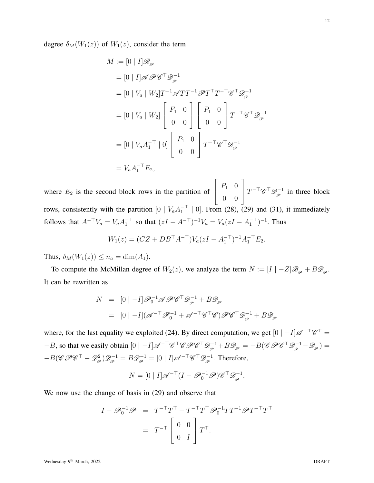degree  $\delta_M(W_1(z))$  of  $W_1(z)$ , consider the term

$$
M := [0 | I] \mathscr{B}_{\mathscr{P}}
$$
  
\n
$$
= [0 | I] \mathscr{A} \mathscr{P} \mathscr{C}^{\top} \mathscr{D}_{\mathscr{P}}^{-1}
$$
  
\n
$$
= [0 | V_a | W_2] T^{-1} \mathscr{A} T T^{-1} \mathscr{P} T^{\top} T^{-\top} \mathscr{C}^{\top} \mathscr{D}_{\mathscr{P}}^{-1}
$$
  
\n
$$
= [0 | V_a | W_2] \begin{bmatrix} F_1 & 0 \\ 0 & 0 \end{bmatrix} \begin{bmatrix} P_1 & 0 \\ 0 & 0 \end{bmatrix} T^{-\top} \mathscr{C}^{\top} \mathscr{D}_{\mathscr{P}}^{-1}
$$
  
\n
$$
= [0 | V_a A_1^{-\top} | 0] \begin{bmatrix} P_1 & 0 \\ 0 & 0 \end{bmatrix} T^{-\top} \mathscr{C}^{\top} \mathscr{D}_{\mathscr{P}}^{-1}
$$
  
\n
$$
= V_a A_1^{-\top} E_2,
$$

where  $E_2$  is the second block rows in the partition of  $\sqrt{ }$  $\overline{1}$  $P_1$  0 0 0 1  $T^{-\top} \mathscr{C}^\top \mathscr{D}_{\mathscr{P}}^{-1}$  in three block rows, consistently with the partition  $[0 | V_a A_1^{-1} | 0]$ . From (28), (29) and (31), it immediately follows that  $A^{-\top}V_a = V_a A_1^{-\top}$  so that  $(zI - A^{-\top})^{-1}V_a = V_a(zI - A_1^{-\top})^{-1}$ . Thus

$$
W_1(z) = (CZ + DB^{\top} A^{-\top}) V_a (zI - A_1^{-\top})^{-1} A_1^{-\top} E_2.
$$

Thus,  $\delta_M(W_1(z)) \leq n_a = \dim(A_1)$ .

To compute the McMillan degree of  $W_2(z)$ , we analyze the term  $N := [I \mid -Z]\mathscr{B}_{\mathscr{P}} + B\mathscr{D}_{\mathscr{P}}$ . It can be rewritten as

$$
N = [0 | -I] \mathscr{P}_0^{-1} \mathscr{A} \mathscr{P} \mathscr{C}^\top \mathscr{D}_{\mathscr{P}}^{-1} + B \mathscr{D}_{\mathscr{P}}
$$
  
= 
$$
[0 | -I] (\mathscr{A}^{-\top} \mathscr{P}_0^{-1} + \mathscr{A}^{-\top} \mathscr{C}^\top \mathscr{C}) \mathscr{P} \mathscr{C}^\top \mathscr{D}_{\mathscr{P}}^{-1} + B \mathscr{D}_{\mathscr{P}}
$$

where, for the last equality we exploited (24). By direct computation, we get  $[0 \mid -1] \mathscr{A}^{-\top} \mathscr{C}^{\top} =$  $-B$ , so that we easily obtain  $[0 \mid -I] \mathscr{A}^{-\top} \mathscr{C}^{\top} \mathscr{C} \mathscr{P} \mathscr{C}^{\top} \mathscr{D}_{\mathscr{P}}^{-1} + B \mathscr{D}_{\mathscr{P}} = -B(\mathscr{C} \mathscr{P} \mathscr{C}^{\top} \mathscr{D}_{\mathscr{P}}^{-1} - \mathscr{D}_{\mathscr{P}}) =$  $-B(\mathscr{C}\mathscr{P}\mathscr{C}^{\top} - \mathscr{D}_{\mathscr{P}}^2)\mathscr{D}_{\mathscr{P}}^{-1} = B\mathscr{D}_{\mathscr{P}}^{-1} = [0 | I] \mathscr{A}^{-\top} \mathscr{C}^{\top} \mathscr{D}_{\mathscr{P}}^{-1}$ . Therefore,

$$
N = [0 | I] \mathscr{A}^{-\top} (I - \mathscr{P}_0^{-1} \mathscr{P}) \mathscr{C}^{\top} \mathscr{D}_{\mathscr{P}}^{-1}.
$$

We now use the change of basis in (29) and observe that

$$
I - \mathscr{P}_0^{-1} \mathscr{P} = T^{-\top} T^{\top} - T^{-\top} T^{\top} \mathscr{P}_0^{-1} T T^{-1} \mathscr{P} T^{-\top} T^{\top}
$$

$$
= T^{-\top} \begin{bmatrix} 0 & 0 \\ 0 & I \end{bmatrix} T^{\top}.
$$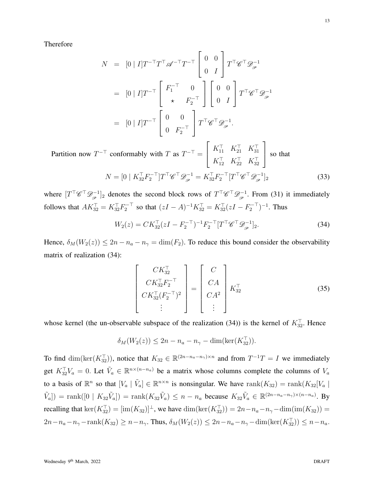Therefore

$$
N = [0 | I]T^{-T}T^{T} \mathscr{A}^{-T}T^{-T} \begin{bmatrix} 0 & 0 \\ 0 & I \end{bmatrix} T^{T} \mathscr{C}^{T} \mathscr{D}_{\mathscr{P}}^{-1}
$$
  
\n
$$
= [0 | I]T^{-T} \begin{bmatrix} F_{1}^{-T} & 0 \\ \star & F_{2}^{-T} \end{bmatrix} \begin{bmatrix} 0 & 0 \\ 0 & I \end{bmatrix} T^{T} \mathscr{C}^{T} \mathscr{D}_{\mathscr{P}}^{-1}
$$
  
\n
$$
= [0 | I]T^{-T} \begin{bmatrix} 0 & 0 \\ 0 & F_{2}^{-T} \end{bmatrix} T^{T} \mathscr{C}^{T} \mathscr{D}_{\mathscr{P}}^{-1}.
$$

Partition now  $T^{-\top}$  conformably with T as  $T^{-\top} =$  $\sqrt{ }$  $\overline{1}$  $K_{11}^{\perp}$   $K_{21}^{\perp}$   $K_{31}^{\perp}$  $K_{12}^{\perp}$   $K_{22}^{\perp}$   $K_{32}^{\perp}$ 1 so that

$$
N = \left[0 \mid K_{32}^{\top} F_2^{-\top} \right] T^{\top} \mathscr{C}^{\top} \mathscr{D}_{\mathscr{P}}^{-1} = K_{32}^{\top} F_2^{-\top} \left[ T^{\top} \mathscr{C}^{\top} \mathscr{D}_{\mathscr{P}}^{-1} \right]_2 \tag{33}
$$

where  $[T^\top \mathscr{C}^\top \mathscr{D}_{\mathscr{P}}^{-1}]_2$  denotes the second block rows of  $T^\top \mathscr{C}^\top \mathscr{D}_{\mathscr{P}}^{-1}$ . From (31) it immediately follows that  $AK_{32}^{\top} = K_{32}^{\top}F_2^{-\top}$  so that  $(zI - A)^{-1}K_{32}^{\top} = K_{32}^{\top}(zI - F_2^{-\top})^{-1}$ . Thus

$$
W_2(z) = C K_{32}^\top (zI - F_2^{-\top})^{-1} F_2^{-\top} [T^\top \mathscr{C}^\top \mathscr{D}_{\mathscr{P}}^{-1}]_2. \tag{34}
$$

Hence,  $\delta_M(W_2(z)) \leq 2n - n_a - n_\gamma = \dim(F_2)$ . To reduce this bound consider the observability matrix of realization (34):

$$
\begin{bmatrix}\nCK_{32}^{\top} \\
CK_{32}^{\top}F_{2}^{-\top} \\
CK_{32}^{\top}(F_{2}^{-\top})^{2} \\
\vdots\n\end{bmatrix} = \begin{bmatrix}\nC \\
CA \\
CA^{2} \\
\vdots\n\end{bmatrix} K_{32}^{\top} \tag{35}
$$

whose kernel (the un-observable subspace of the realization (34)) is the kernel of  $K_{32}^{\perp}$ . Hence

$$
\delta_M(W_2(z)) \le 2n - n_a - n_\gamma - \dim(\ker(K_{32}^\top)).
$$

To find  $\dim(\ker(K_{32}^{\top}))$ , notice that  $K_{32} \in \mathbb{R}^{(2n-n_a-n_{\gamma})\times n}$  and from  $T^{-1}T = I$  we immediately get  $K_{32}^{\top}V_a = 0$ . Let  $\tilde{V}_a \in \mathbb{R}^{n \times (n-n_a)}$  be a matrix whose columns complete the columns of  $V_a$ to a basis of  $\mathbb{R}^n$  so that  $[V_a | \tilde{V}_a] \in \mathbb{R}^{n \times n}$  is nonsingular. We have  $rank(K_{32}) = rank(K_{32}[V_a])$  $[\tilde{V}_a]$  = rank $([0 \mid K_{32} \tilde{V}_a])$  = rank $(K_{32} \tilde{V}_a) \leq n - n_a$  because  $K_{32} \tilde{V}_a \in \mathbb{R}^{(2n-n_a-n_\gamma)\times(n-n_a)}$ . By recalling that  $\ker(K_{32}^{\perp}) = [\text{im}(K_{32})]^{\perp}$ , we have  $\dim(\ker(K_{32}^{\perp})) = 2n - n_a - n_{\gamma} - \dim(\text{im}(K_{32})) =$  $2n-n_a-n_{\gamma}-\text{rank}(K_{32}) \geq n-n_{\gamma}$ . Thus,  $\delta_M(W_2(z)) \leq 2n-n_a-n_{\gamma}-\dim(\ker(K_{32}^{\perp})) \leq n-n_a$ .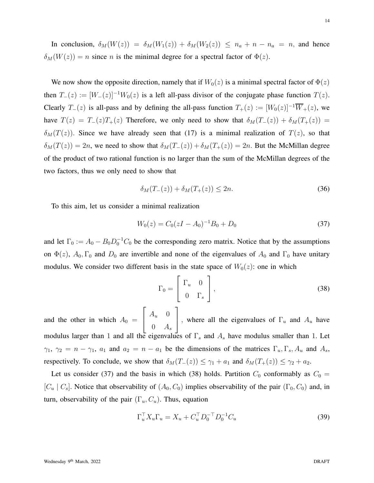In conclusion,  $\delta_M(W(z)) = \delta_M(W_1(z)) + \delta_M(W_2(z)) \leq n_a + n - n_a = n$ , and hence  $\delta_M(W(z)) = n$  since n is the minimal degree for a spectral factor of  $\Phi(z)$ .

We now show the opposite direction, namely that if  $W_0(z)$  is a minimal spectral factor of  $\Phi(z)$ then  $T_-(z) := [W_-(z)]^{-1}W_0(z)$  is a left all-pass divisor of the conjugate phase function  $T(z)$ . Clearly  $T_-(z)$  is all-pass and by defining the all-pass function  $T_+(z) := [W_0(z)]^{-1} \overline{W}_+(z)$ , we have  $T(z) = T_-(z)T_+(z)$  Therefore, we only need to show that  $\delta_M(T_-(z)) + \delta_M(T_+(z)) =$  $\delta_M(T(z))$ . Since we have already seen that (17) is a minimal realization of  $T(z)$ , so that  $\delta_M(T(z)) = 2n$ , we need to show that  $\delta_M(T_-(z)) + \delta_M(T_+(z)) = 2n$ . But the McMillan degree of the product of two rational function is no larger than the sum of the McMillan degrees of the two factors, thus we only need to show that

$$
\delta_M(T_-(z)) + \delta_M(T_+(z)) \le 2n. \tag{36}
$$

To this aim, let us consider a minimal realization

$$
W_0(z) = C_0 (zI - A_0)^{-1} B_0 + D_0
$$
\n(37)

and let  $\Gamma_0 := A_0 - B_0 D_0^{-1} C_0$  be the corresponding zero matrix. Notice that by the assumptions on  $\Phi(z)$ ,  $A_0$ ,  $\Gamma_0$  and  $D_0$  are invertible and none of the eigenvalues of  $A_0$  and  $\Gamma_0$  have unitary modulus. We consider two different basis in the state space of  $W_0(z)$ : one in which

$$
\Gamma_0 = \begin{bmatrix} \Gamma_u & 0 \\ 0 & \Gamma_s \end{bmatrix},
$$
\n(38)

and the other in which  $A_0 =$  $\sqrt{ }$  $\overline{\phantom{a}}$  $A_u$  0  $0 \quad A_s$ 1 , where all the eigenvalues of  $\Gamma_u$  and  $A_u$  have modulus larger than 1 and all the eigenvalues of  $\Gamma_s$  and  $A_s$  have modulus smaller than 1. Let  $\gamma_1$ ,  $\gamma_2 = n - \gamma_1$ ,  $a_1$  and  $a_2 = n - a_1$  be the dimensions of the matrices  $\Gamma_u$ ,  $\Gamma_s$ ,  $A_u$  and  $A_s$ , respectively. To conclude, we show that  $\delta_M(T_-(z)) \leq \gamma_1 + a_1$  and  $\delta_M(T_+(z)) \leq \gamma_2 + a_2$ .

Let us consider (37) and the basis in which (38) holds. Partition  $C_0$  conformably as  $C_0$  =  $[C_u | C_s]$ . Notice that observability of  $(A_0, C_0)$  implies observability of the pair  $(\Gamma_0, C_0)$  and, in turn, observability of the pair  $(\Gamma_u, C_u)$ . Thus, equation

$$
\Gamma_u^{\top} X_u \Gamma_u = X_u + C_u^{\top} D_0^{-1} D_0^{-1} C_u \tag{39}
$$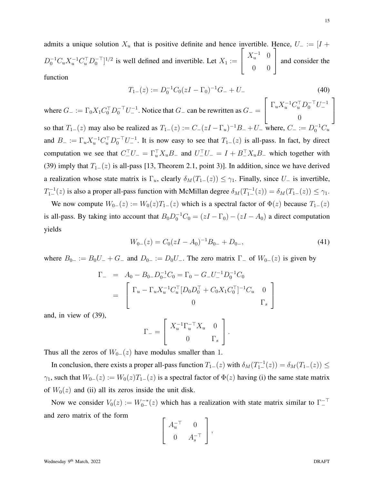admits a unique solution  $X_u$  that is positive definite and hence invertible. Hence,  $U_- := [I +$  $D_0^{-1}C_u X_u^{-1} C_u^{\top} D_0^{-\top}$ <sup>1/2</sup> is well defined and invertible. Let  $X_1 :=$  $\sqrt{ }$  $\overline{\phantom{a}}$  $X_u^{-1}$  0 0 0 1 | and consider the function

$$
T_{1-}(z) := D_0^{-1} C_0 (zI - \Gamma_0)^{-1} G_- + U_-
$$
\n
$$
\left[ \begin{array}{cc} \Gamma & Y^{-1} C^\top D^{-\top} U^{-1} \end{array} \right]
$$
\n(40)

where  $G_{-} := \Gamma_0 X_1 C_0^{\top} D_0^{-\top} U_{-}^{-1}$ . Notice that  $G_{-}$  can be rewritten as  $G_{-}$  =  $\sqrt{ }$  $\overline{1}$  $\Gamma_u X_u^{-1} C_u^{\top} D_0^{-\top} U_-^{-1}$  $\theta$  $\overline{1}$ so that  $T_{1-}(z)$  may also be realized as  $T_{1-}(z) := C_-(zI - \Gamma_u)^{-1}B_- + U_-$  where,  $C_- := D_0^{-1}C_u$ and  $B_- := \Gamma_u X_u^{-1} C_u^{\top} D_0^{-\top} U_-^{-1}$ . It is now easy to see that  $T_{1-}(z)$  is all-pass. In fact, by direct computation we see that  $C_-^{\perp}U_- = \Gamma_u^{\perp} X_u B_-$  and  $U_-^{\perp} U_- = I + B_-^{\perp} X_u B_-$  which together with (39) imply that  $T_{1-}(z)$  is all-pass [13, Theorem 2.1, point 3)]. In addition, since we have derived a realization whose state matrix is  $\Gamma_u$ , clearly  $\delta_M(T_1-(z)) \leq \gamma_1$ . Finally, since  $U_-\$  is invertible,  $T_1^{-1}(z)$  is also a proper all-pass function with McMillan degree  $\delta_M(T_1^{-1}(z)) = \delta_M(T_1^{-}(z)) \leq \gamma_1$ .

We now compute  $W_{0-}(z) := W_0(z)T_{1-}(z)$  which is a spectral factor of  $\Phi(z)$  because  $T_{1-}(z)$ is all-pass. By taking into account that  $B_0 D_0^{-1} C_0 = (zI - \Gamma_0) - (zI - A_0)$  a direct computation yields

$$
W_{0-}(z) = C_0 (zI - A_0)^{-1} B_{0-} + D_{0-}, \tag{41}
$$

where  $B_{0-} := B_0U_- + G_-$  and  $D_{0-} := D_0U_-$ . The zero matrix  $\Gamma_-$  of  $W_{0-}(z)$  is given by

$$
\begin{aligned}\n\Gamma_- &= A_0 - B_0 - D_0^{-1} C_0 = \Gamma_0 - G_- U_-^{-1} D_0^{-1} C_0 \\
&= \begin{bmatrix}\n\Gamma_u - \Gamma_u X_u^{-1} C_u^\top [D_0 D_0^\top + C_0 X_1 C_0^\top]^{-1} C_u & 0 \\
0 & \Gamma_s\n\end{bmatrix}\n\end{aligned}
$$

and, in view of (39),

$$
\Gamma_{-} = \left[ \begin{array}{cc} X_u^{-1} \Gamma_u^{-\top} X_u & 0 \\ 0 & \Gamma_s \end{array} \right].
$$

Thus all the zeros of  $W_{0-}(z)$  have modulus smaller than 1.

In conclusion, there exists a proper all-pass function  $T_{1-}(z)$  with  $\delta_M(T_{1-}^{-1}(z)) = \delta_M(T_{1-}(z)) \le$  $\gamma_1$ , such that  $W_{0-}(z) := W_0(z)T_{1-}(z)$  is a spectral factor of  $\Phi(z)$  having (i) the same state matrix of  $W_0(z)$  and (ii) all its zeros inside the unit disk.

Now we consider  $V_0(z) := W_{0-}^{-*}(z)$  which has a realization with state matrix similar to  $\Gamma_{-}^{-+}$ and zero matrix of the form

$$
\left[\begin{array}{cc} A_u^{-\top} & 0 \\ 0 & A_s^{-\top} \end{array}\right],
$$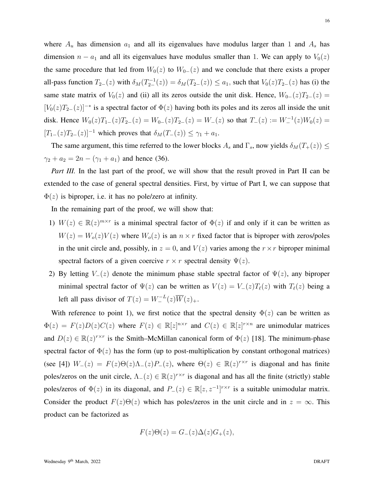where  $A_u$  has dimension  $a_1$  and all its eigenvalues have modulus larger than 1 and  $A_s$  has dimension  $n - a_1$  and all its eigenvalues have modulus smaller than 1. We can apply to  $V_0(z)$ the same procedure that led from  $W_0(z)$  to  $W_{0-}(z)$  and we conclude that there exists a proper all-pass function  $T_{2-}(z)$  with  $\delta_M(T_{2-}^{-1}(z)) = \delta_M(T_{2-}(z)) \le a_1$ , such that  $V_0(z)T_{2-}(z)$  has (i) the same state matrix of  $V_0(z)$  and (ii) all its zeros outside the unit disk. Hence,  $W_{0-}(z)T_{2-}(z)$  =  $[V_0(z)T_{2-}(z)]^{-*}$  is a spectral factor of  $\Phi(z)$  having both its poles and its zeros all inside the unit disk. Hence  $W_0(z)T_{1-}(z)T_{2-}(z) = W_{0-}(z)T_{2-}(z) = W_{-}(z)$  so that  $T_{-}(z) := W_{-}^{-1}(z)W_0(z) =$  $[T_1-(z)T_2-(z)]^{-1}$  which proves that  $\delta_M(T_-(z)) \leq \gamma_1 + a_1$ .

The same argument, this time referred to the lower blocks  $A_s$  and  $\Gamma_s$ , now yields  $\delta_M(T_+(z)) \leq$  $\gamma_2 + a_2 = 2n - (\gamma_1 + a_1)$  and hence (36).

*Part III.* In the last part of the proof, we will show that the result proved in Part II can be extended to the case of general spectral densities. First, by virtue of Part I, we can suppose that  $\Phi(z)$  is biproper, i.e. it has no pole/zero at infinity.

In the remaining part of the proof, we will show that:

- 1)  $W(z) \in \mathbb{R}(z)^{m \times r}$  is a minimal spectral factor of  $\Phi(z)$  if and only if it can be written as  $W(z) = W_o(z)V(z)$  where  $W_o(z)$  is an  $n \times r$  fixed factor that is biproper with zeros/poles in the unit circle and, possibly, in  $z = 0$ , and  $V(z)$  varies among the  $r \times r$  biproper minimal spectral factors of a given coercive  $r \times r$  spectral density  $\Psi(z)$ .
- 2) By letting  $V_-(z)$  denote the minimum phase stable spectral factor of  $\Psi(z)$ , any biproper minimal spectral factor of  $\Psi(z)$  can be written as  $V(z) = V_-(z)T_\ell(z)$  with  $T_\ell(z)$  being a left all pass divisor of  $T(z) = W_-^{-L}(z)\overline{W}(z)_+.$

With reference to point 1), we first notice that the spectral density  $\Phi(z)$  can be written as  $\Phi(z) = F(z)D(z)C(z)$  where  $F(z) \in \mathbb{R}[z]^{n \times r}$  and  $C(z) \in \mathbb{R}[z]^{r \times n}$  are unimodular matrices and  $D(z) \in \mathbb{R}(z)^{r \times r}$  is the Smith–McMillan canonical form of  $\Phi(z)$  [18]. The minimum-phase spectral factor of  $\Phi(z)$  has the form (up to post-multiplication by constant orthogonal matrices) (see [4])  $W_-(z) = F(z)\Theta(z)\Lambda_-(z)P_-(z)$ , where  $\Theta(z) \in \mathbb{R}(z)^{r \times r}$  is diagonal and has finite poles/zeros on the unit circle,  $\Lambda_-(z) \in \mathbb{R}(z)^{r \times r}$  is diagonal and has all the finite (strictly) stable poles/zeros of  $\Phi(z)$  in its diagonal, and  $P_-(z) \in \mathbb{R}[z, z^{-1}]^{r \times r}$  is a suitable unimodular matrix. Consider the product  $F(z)\Theta(z)$  which has poles/zeros in the unit circle and in  $z = \infty$ . This product can be factorized as

$$
F(z)\Theta(z) = G_{-}(z)\Delta(z)G_{+}(z),
$$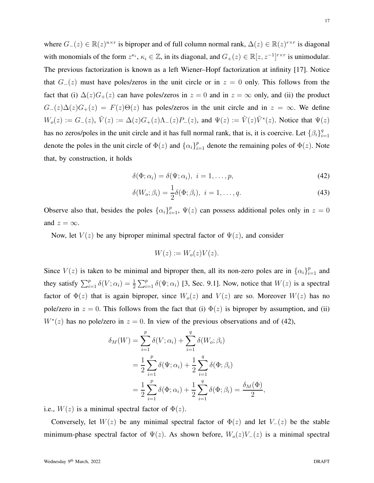where  $G_-(z) \in \mathbb{R}(z)^{n \times r}$  is biproper and of full column normal rank,  $\Delta(z) \in \mathbb{R}(z)^{r \times r}$  is diagonal with monomials of the form  $z^{\kappa_i}$ ,  $\kappa_i \in \mathbb{Z}$ , in its diagonal, and  $G_+(z) \in \mathbb{R}[z, z^{-1}]^{r \times r}$  is unimodular. The previous factorization is known as a left Wiener–Hopf factorization at infinity [17]. Notice that  $G_-(z)$  must have poles/zeros in the unit circle or in  $z = 0$  only. This follows from the fact that (i)  $\Delta(z)G_+(z)$  can have poles/zeros in  $z = 0$  and in  $z = \infty$  only, and (ii) the product  $G_{-}(z)\Delta(z)G_{+}(z) = F(z)\Theta(z)$  has poles/zeros in the unit circle and in  $z = \infty$ . We define  $W_o(z) := G_-(z)$ ,  $\tilde{V}(z) := \Delta(z)G_+(z)\Lambda_-(z)P_-(z)$ , and  $\Psi(z) := \tilde{V}(z)\tilde{V}^*(z)$ . Notice that  $\Psi(z)$ has no zeros/poles in the unit circle and it has full normal rank, that is, it is coercive. Let  $\{\beta_i\}_{i=1}^q$  $\frac{i=1}{i}$ denote the poles in the unit circle of  $\Phi(z)$  and  $\{\alpha_i\}_{i=1}^p$  denote the remaining poles of  $\Phi(z)$ . Note that, by construction, it holds

$$
\delta(\Phi; \alpha_i) = \delta(\Psi; \alpha_i), \quad i = 1, \dots, p,
$$
\n<sup>(42)</sup>

$$
\delta(W_o; \beta_i) = \frac{1}{2}\delta(\Phi; \beta_i), \quad i = 1, \dots, q. \tag{43}
$$

Observe also that, besides the poles  $\{\alpha_i\}_{i=1}^p$ ,  $\Psi(z)$  can possess additional poles only in  $z = 0$ and  $z = \infty$ .

Now, let  $V(z)$  be any biproper minimal spectral factor of  $\Psi(z)$ , and consider

$$
W(z) := W_o(z)V(z).
$$

Since  $V(z)$  is taken to be minimal and biproper then, all its non-zero poles are in  $\{\alpha_i\}_{i=1}^p$  and they satisfy  $\sum_{i=1}^p \delta(V; \alpha_i) = \frac{1}{2} \sum_{i=1}^p \delta(\Psi; \alpha_i)$  [3, Sec. 9.1]. Now, notice that  $W(z)$  is a spectral factor of  $\Phi(z)$  that is again biproper, since  $W_o(z)$  and  $V(z)$  are so. Moreover  $W(z)$  has no pole/zero in  $z = 0$ . This follows from the fact that (i)  $\Phi(z)$  is biproper by assumption, and (ii)  $W^*(z)$  has no pole/zero in  $z = 0$ . In view of the previous observations and of (42),

$$
\delta_M(W) = \sum_{i=1}^p \delta(V; \alpha_i) + \sum_{i=1}^q \delta(W_o; \beta_i)
$$
  
=  $\frac{1}{2} \sum_{i=1}^p \delta(\Psi; \alpha_i) + \frac{1}{2} \sum_{i=1}^q \delta(\Phi; \beta_i)$   
=  $\frac{1}{2} \sum_{i=1}^p \delta(\Phi; \alpha_i) + \frac{1}{2} \sum_{i=1}^q \delta(\Phi; \beta_i) = \frac{\delta_M(\Phi)}{2},$ 

i.e.,  $W(z)$  is a minimal spectral factor of  $\Phi(z)$ .

Conversely, let  $W(z)$  be any minimal spectral factor of  $\Phi(z)$  and let  $V_-(z)$  be the stable minimum-phase spectral factor of  $\Psi(z)$ . As shown before,  $W_o(z)V_-(z)$  is a minimal spectral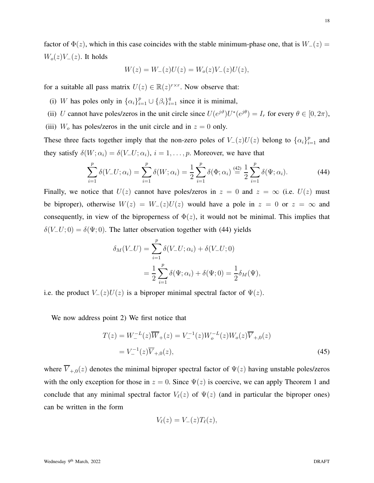factor of  $\Phi(z)$ , which in this case coincides with the stable minimum-phase one, that is  $W_-(z)$  =  $W_o(z)V_-(z)$ . It holds

$$
W(z) = W_{-}(z)U(z) = W_o(z)V_{-}(z)U(z),
$$

for a suitable all pass matrix  $U(z) \in \mathbb{R}(z)^{r \times r}$ . Now observe that:

- (i) W has poles only in  $\{\alpha_i\}_{i=1}^p \cup \{\beta_i\}_{i=1}^q$  since it is minimal,
- (ii) U cannot have poles/zeros in the unit circle since  $U(e^{j\vartheta})U^*(e^{j\theta}) = I_r$  for every  $\theta \in [0, 2\pi)$ ,
- (iii)  $W_o$  has poles/zeros in the unit circle and in  $z = 0$  only.

These three facts together imply that the non-zero poles of  $V_-(z)U(z)$  belong to  $\{\alpha_i\}_{i=1}^p$  and they satisfy  $\delta(W; \alpha_i) = \delta(V_- U; \alpha_i)$ ,  $i = 1, \dots, p$ . Moreover, we have that

$$
\sum_{i=1}^{p} \delta(V_{-}U; \alpha_{i}) = \sum_{i=1}^{p} \delta(W; \alpha_{i}) = \frac{1}{2} \sum_{i=1}^{p} \delta(\Phi; \alpha_{i}) \stackrel{(42)}{=} \frac{1}{2} \sum_{i=1}^{p} \delta(\Psi; \alpha_{i}).
$$
 (44)

Finally, we notice that  $U(z)$  cannot have poles/zeros in  $z = 0$  and  $z = \infty$  (i.e.  $U(z)$  must be biproper), otherwise  $W(z) = W_-(z)U(z)$  would have a pole in  $z = 0$  or  $z = \infty$  and consequently, in view of the biproperness of  $\Phi(z)$ , it would not be minimal. This implies that  $\delta(V_-U; 0) = \delta(\Psi; 0)$ . The latter observation together with (44) yields

$$
\delta_M(V_-U) = \sum_{i=1}^p \delta(V_-U; \alpha_i) + \delta(V_-U; 0)
$$
  
=  $\frac{1}{2} \sum_{i=1}^p \delta(\Psi; \alpha_i) + \delta(\Psi; 0) = \frac{1}{2} \delta_M(\Psi),$ 

i.e. the product  $V_-(z)U(z)$  is a biproper minimal spectral factor of  $\Psi(z)$ .

We now address point 2) We first notice that

$$
T(z) = W_{-}^{-L}(z)\overline{W}_{+}(z) = V_{-}^{-1}(z)W_{o}^{-L}(z)W_{o}(z)\overline{V}_{+,0}(z)
$$
  
=  $V_{-}^{-1}(z)\overline{V}_{+,0}(z),$  (45)

where  $\overline{V}_{+,0}(z)$  denotes the minimal biproper spectral factor of  $\Psi(z)$  having unstable poles/zeros with the only exception for those in  $z = 0$ . Since  $\Psi(z)$  is coercive, we can apply Theorem 1 and conclude that any minimal spectral factor  $V_{\ell}(z)$  of  $\Psi(z)$  (and in particular the biproper ones) can be written in the form

$$
V_{\ell}(z)=V_{-}(z)T_{\ell}(z),
$$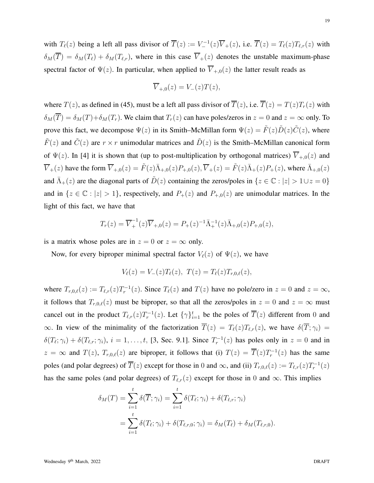with  $T_{\ell}(z)$  being a left all pass divisor of  $\overline{T}(z) := V_{-}^{-1}(z)\overline{V}_{+}(z)$ , i.e.  $\overline{T}(z) = T_{\ell}(z)T_{\ell,r}(z)$  with  $\delta_M(\overline{T}) = \delta_M(T_\ell) + \delta_M(T_{\ell,r})$ , where in this case  $\overline{V}_+(z)$  denotes the unstable maximum-phase spectral factor of  $\Psi(z)$ . In particular, when applied to  $\overline{V}_{+,0}(z)$  the latter result reads as

$$
\overline{V}_{+,0}(z) = V_{-}(z)T(z),
$$

where  $T(z)$ , as defined in (45), must be a left all pass divisor of  $\overline{T}(z)$ , i.e.  $\overline{T}(z) = T(z)T_r(z)$  with  $\delta_M(\overline{T}) = \delta_M(T) + \delta_M(T_r)$ . We claim that  $T_r(z)$  can have poles/zeros in  $z = 0$  and  $z = \infty$  only. To prove this fact, we decompose  $\Psi(z)$  in its Smith–McMillan form  $\Psi(z) = \tilde{F}(z)\tilde{D}(z)\tilde{C}(z)$ , where  $\tilde{F}(z)$  and  $\tilde{C}(z)$  are  $r \times r$  unimodular matrices and  $\tilde{D}(z)$  is the Smith–McMillan canonical form of  $\Psi(z)$ . In [4] it is shown that (up to post-multiplication by orthogonal matrices)  $\overline{V}_{+,0}(z)$  and  $\overline{V}_+(z)$  have the form  $\overline{V}_{+,0}(z) = \tilde{F}(z)\overline{\Lambda}_{+,0}(z)P_{+,0}(z), \overline{V}_+(z) = \tilde{F}(z)\overline{\Lambda}_{+}(z)P_{+}(z)$ , where  $\overline{\Lambda}_{+,0}(z)$ and  $\bar{\Lambda}_+(z)$  are the diagonal parts of  $\tilde{D}(z)$  containing the zeros/poles in  $\{z \in \mathbb{C} : |z| > 1 \cup z = 0\}$ and in  $\{z \in \mathbb{C} : |z| > 1\}$ , respectively, and  $P_+(z)$  and  $P_{+,0}(z)$  are unimodular matrices. In the light of this fact, we have that

$$
T_r(z) = \overline{V}_+^{-1}(z)\overline{V}_{+,0}(z) = P_+(z)^{-1}\overline{\Lambda}_+^{-1}(z)\overline{\Lambda}_{+,0}(z)P_{+,0}(z),
$$

is a matrix whose poles are in  $z = 0$  or  $z = \infty$  only.

Now, for every biproper minimal spectral factor  $V_{\ell}(z)$  of  $\Psi(z)$ , we have

$$
V_{\ell}(z) = V_{-}(z)T_{\ell}(z), \ T(z) = T_{\ell}(z)T_{r,0,\ell}(z),
$$

where  $T_{r,0,\ell}(z) := T_{\ell,r}(z)T_r^{-1}(z)$ . Since  $T_{\ell}(z)$  and  $T(z)$  have no pole/zero in  $z = 0$  and  $z = \infty$ , it follows that  $T_{r,0,\ell}(z)$  must be biproper, so that all the zeros/poles in  $z = 0$  and  $z = \infty$  must cancel out in the product  $T_{\ell,r}(z)T_r^{-1}(z)$ . Let  $\{\gamma\}_{i=1}^t$  be the poles of  $\overline{T}(z)$  different from 0 and  $\infty$ . In view of the minimality of the factorization  $\overline{T}(z) = T_{\ell}(z)T_{\ell,r}(z)$ , we have  $\delta(\overline{T}; \gamma_i) =$  $\delta(T_\ell; \gamma_i) + \delta(T_{\ell,r}; \gamma_i), i = 1, \ldots, t$ , [3, Sec. 9.1]. Since  $T_r^{-1}(z)$  has poles only in  $z = 0$  and in  $z = \infty$  and  $T(z)$ ,  $T_{r,0,\ell}(z)$  are biproper, it follows that (i)  $T(z) = \overline{T}(z)T_r^{-1}(z)$  has the same poles (and polar degrees) of  $\overline{T}(z)$  except for those in 0 and  $\infty$ , and (ii)  $T_{r,0,\ell}(z) := T_{\ell,r}(z)T_r^{-1}(z)$ has the same poles (and polar degrees) of  $T_{\ell,r}(z)$  except for those in 0 and  $\infty$ . This implies

$$
\delta_M(T) = \sum_{i=1}^t \delta(\overline{T}; \gamma_i) = \sum_{i=1}^t \delta(T_\ell; \gamma_i) + \delta(T_{\ell,r}; \gamma_i)
$$
  
= 
$$
\sum_{i=1}^t \delta(T_\ell; \gamma_i) + \delta(T_{\ell,r,0}; \gamma_i) = \delta_M(T_\ell) + \delta_M(T_{\ell,r,0}).
$$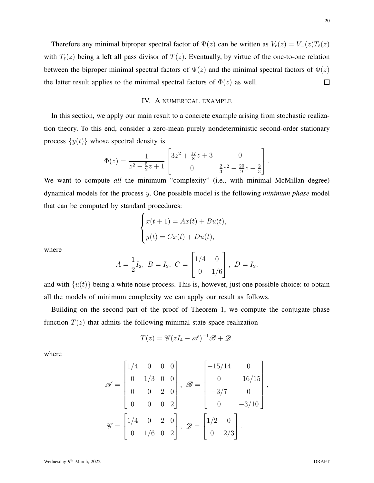Therefore any minimal biproper spectral factor of  $\Psi(z)$  can be written as  $V_{\ell}(z) = V_{-}(z)T_{\ell}(z)$ with  $T_{\ell}(z)$  being a left all pass divisor of  $T(z)$ . Eventually, by virtue of the one-to-one relation between the biproper minimal spectral factors of  $\Psi(z)$  and the minimal spectral factors of  $\Phi(z)$ the latter result applies to the minimal spectral factors of  $\Phi(z)$  as well.  $\Box$ 

# IV. A NUMERICAL EXAMPLE

In this section, we apply our main result to a concrete example arising from stochastic realization theory. To this end, consider a zero-mean purely nondeterministic second-order stationary process  $\{y(t)\}\$  whose spectral density is

$$
\Phi(z) = \frac{1}{z^2 - \frac{5}{2}z + 1} \begin{bmatrix} 3z^2 + \frac{17}{8}z + 3 & 0\\ 0 & \frac{2}{3}z^2 - \frac{20}{9}z + \frac{2}{3} \end{bmatrix}.
$$

We want to compute *all* the minimum "complexity" (i.e., with minimal McMillan degree) dynamical models for the process y. One possible model is the following *minimum phase* model that can be computed by standard procedures:

$$
\begin{cases} x(t+1) = Ax(t) + Bu(t), \\ y(t) = Cx(t) + Du(t), \end{cases}
$$

where

$$
A = \frac{1}{2}I_2, \ B = I_2, \ C = \begin{bmatrix} 1/4 & 0 \\ 0 & 1/6 \end{bmatrix}, \ D = I_2,
$$

and with  $\{u(t)\}\$ being a white noise process. This is, however, just one possible choice: to obtain all the models of minimum complexity we can apply our result as follows.

Building on the second part of the proof of Theorem 1, we compute the conjugate phase function  $T(z)$  that admits the following minimal state space realization

$$
T(z) = \mathscr{C}(zI_4 - \mathscr{A})^{-1}\mathscr{B} + \mathscr{D}.
$$

where

$$
\mathscr{A} = \begin{bmatrix} 1/4 & 0 & 0 & 0 \\ 0 & 1/3 & 0 & 0 \\ 0 & 0 & 2 & 0 \\ 0 & 0 & 0 & 2 \end{bmatrix}, \ \mathscr{B} = \begin{bmatrix} -15/14 & 0 \\ 0 & -16/15 \\ -3/7 & 0 \\ 0 & -3/10 \end{bmatrix},
$$

$$
\mathscr{C} = \begin{bmatrix} 1/4 & 0 & 2 & 0 \\ 0 & 1/6 & 0 & 2 \end{bmatrix}, \ \mathscr{D} = \begin{bmatrix} 1/2 & 0 \\ 0 & 2/3 \end{bmatrix}.
$$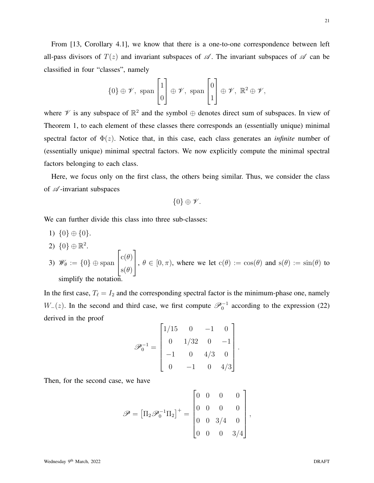21

From [13, Corollary 4.1], we know that there is a one-to-one correspondence between left all-pass divisors of  $T(z)$  and invariant subspaces of  $\mathscr A$ . The invariant subspaces of  $\mathscr A$  can be classified in four "classes", namely

$$
\{0\} \oplus \mathscr{V}, \text{ span } \begin{bmatrix} 1 \\ 0 \end{bmatrix} \oplus \mathscr{V}, \text{ span } \begin{bmatrix} 0 \\ 1 \end{bmatrix} \oplus \mathscr{V}, \ \mathbb{R}^2 \oplus \mathscr{V},
$$

where  $\mathscr V$  is any subspace of  $\mathbb{R}^2$  and the symbol  $\oplus$  denotes direct sum of subspaces. In view of Theorem 1, to each element of these classes there corresponds an (essentially unique) minimal spectral factor of  $\Phi(z)$ . Notice that, in this case, each class generates an *infinite* number of (essentially unique) minimal spectral factors. We now explicitly compute the minimal spectral factors belonging to each class.

Here, we focus only on the first class, the others being similar. Thus, we consider the class of  $\mathscr A$ -invariant subspaces

$$
\{0\}\oplus \mathscr{V}.
$$

We can further divide this class into three sub-classes:

- 1)  $\{0\} \oplus \{0\}.$
- 2)  ${0} \oplus \mathbb{R}^2$ .
- 3)  $\mathscr{W}_{\theta} := \{0\} \oplus \text{span}$  $\sqrt{ }$  $\overline{\phantom{a}}$  $\mathrm{c}(\theta)$  $\mathrm{s}(\theta)$ 1  $\Big\}, \theta \in [0, \pi)$ , where we let  $c(\theta) := \cos(\theta)$  and  $s(\theta) := \sin(\theta)$  to simplify the notation.

In the first case,  $T_{\ell} = I_2$  and the corresponding spectral factor is the minimum-phase one, namely  $W_-(z)$ . In the second and third case, we first compute  $\mathscr{P}_0^{-1}$  according to the expression (22) derived in the proof  $\overline{\phantom{0}}$ 

$$
\mathscr{P}_0^{-1} = \begin{bmatrix} 1/15 & 0 & -1 & 0 \\ 0 & 1/32 & 0 & -1 \\ -1 & 0 & 4/3 & 0 \\ 0 & -1 & 0 & 4/3 \end{bmatrix}.
$$

Then, for the second case, we have

$$
\mathscr{P} = \left[\Pi_2 \mathscr{P}_0^{-1} \Pi_2\right]^+ = \begin{bmatrix} 0 & 0 & 0 & 0 \\ 0 & 0 & 0 & 0 \\ 0 & 0 & 3/4 & 0 \\ 0 & 0 & 0 & 3/4 \end{bmatrix},
$$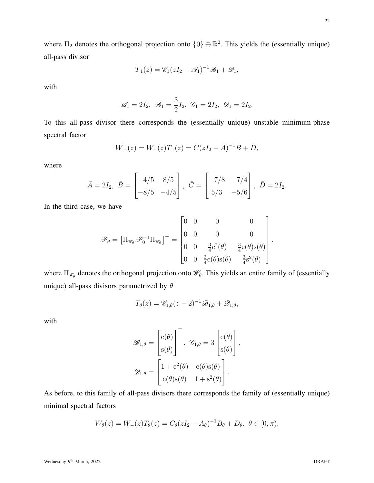where  $\Pi_2$  denotes the orthogonal projection onto  $\{0\} \oplus \mathbb{R}^2$ . This yields the (essentially unique) all-pass divisor

$$
\overline{T}_1(z) = \mathscr{C}_1(zI_2 - \mathscr{A}_1)^{-1}\mathscr{B}_1 + \mathscr{D}_1,
$$

with

$$
\mathscr{A}_1 = 2I_2, \ \mathscr{B}_1 = \frac{3}{2}I_2, \ \mathscr{C}_1 = 2I_2, \ \mathscr{D}_1 = 2I_2.
$$

To this all-pass divisor there corresponds the (essentially unique) unstable minimum-phase spectral factor

$$
\overline{W}_{-}(z) = W_{-}(z)\overline{T}_{1}(z) = \overline{C}(zI_{2} - \overline{A})^{-1}\overline{B} + \overline{D},
$$

where

$$
\bar{A} = 2I_2, \ \bar{B} = \begin{bmatrix} -4/5 & 8/5 \\ -8/5 & -4/5 \end{bmatrix}, \ \bar{C} = \begin{bmatrix} -7/8 & -7/4 \\ 5/3 & -5/6 \end{bmatrix}, \ \bar{D} = 2I_2.
$$

In the third case, we have

$$
\mathscr{P}_{\theta} = \left[\Pi_{\mathscr{W}_{\theta}} \mathscr{P}_{0}^{-1} \Pi_{\mathscr{W}_{\theta}}\right]^{+} = \begin{bmatrix} 0 & 0 & 0 & 0 \\ 0 & 0 & 0 & 0 \\ 0 & 0 & \frac{3}{4}c^{2}(\theta) & \frac{3}{4}c(\theta)s(\theta) \\ 0 & 0 & \frac{3}{4}c(\theta)s(\theta) & \frac{3}{4}s^{2}(\theta) \end{bmatrix},
$$

where  $\Pi_{\mathscr{W}_{\theta}}$  denotes the orthogonal projection onto  $\mathscr{W}_{\theta}$ . This yields an entire family of (essentially unique) all-pass divisors parametrized by  $\theta$ 

$$
T_{\theta}(z) = \mathscr{C}_{1,\theta}(z-2)^{-1}\mathscr{B}_{1,\theta} + \mathscr{D}_{1,\theta},
$$

with

$$
\mathscr{B}_{1,\theta} = \begin{bmatrix} c(\theta) \\ s(\theta) \end{bmatrix}^{\top}, \ \mathscr{C}_{1,\theta} = 3 \begin{bmatrix} c(\theta) \\ s(\theta) \end{bmatrix},
$$

$$
\mathscr{D}_{1,\theta} = \begin{bmatrix} 1 + c^2(\theta) & c(\theta)s(\theta) \\ c(\theta)s(\theta) & 1 + s^2(\theta) \end{bmatrix}.
$$

As before, to this family of all-pass divisors there corresponds the family of (essentially unique) minimal spectral factors

$$
W_{\theta}(z) = W_{-}(z)T_{\theta}(z) = C_{\theta}(zI_2 - A_{\theta})^{-1}B_{\theta} + D_{\theta}, \ \theta \in [0, \pi),
$$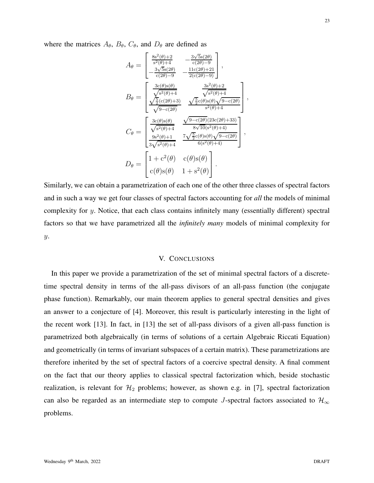where the matrices  $A_{\theta}$ ,  $B_{\theta}$ ,  $C_{\theta}$ , and  $D_{\theta}$  are defined as

$$
A_{\theta} = \begin{bmatrix} \frac{8s^{2}(\theta)+2}{s^{2}(\theta)+4} & -\frac{3\sqrt{5}s(2\theta)}{c(2\theta)-9} \\ -\frac{3\sqrt{5}s(2\theta)}{c(2\theta)-9} & -\frac{11c(2\theta)+21}{2(c(2\theta)-9)} \end{bmatrix},
$$
  
\n
$$
B_{\theta} = \begin{bmatrix} \frac{3c(\theta)s(\theta)}{\sqrt{s^{2}(\theta)+4}} & \frac{3s^{2}(\theta)+2}{\sqrt{s^{2}(\theta)+4}} \\ \frac{\sqrt{5}c(2\theta)+3}{\sqrt{9-c(2\theta)}} & \frac{\sqrt{5}c(\theta)s(\theta)\sqrt{9-c(2\theta)}}{s^{2}(\theta)+4} \end{bmatrix},
$$
  
\n
$$
C_{\theta} = \begin{bmatrix} \frac{3c(\theta)s(\theta)}{\sqrt{s^{2}(\theta)+4}} & \frac{\sqrt{9-c(2\theta)(23c(2\theta)+33)}}{8\sqrt{10}(s^{2}(\theta)+4)} \\ \frac{9s^{2}(\theta)+1}{3\sqrt{s^{2}(\theta)+4}} & \frac{7\sqrt{5}c(\theta)s(\theta)\sqrt{9-c(2\theta)}}{6(s^{2}(\theta)+4)} \end{bmatrix},
$$
  
\n
$$
D_{\theta} = \begin{bmatrix} 1+c^{2}(\theta) & c(\theta)s(\theta) \\ c(\theta)s(\theta) & 1+s^{2}(\theta) \end{bmatrix}.
$$

Similarly, we can obtain a parametrization of each one of the other three classes of spectral factors and in such a way we get four classes of spectral factors accounting for *all* the models of minimal complexity for  $y$ . Notice, that each class contains infinitely many (essentially different) spectral factors so that we have parametrized all the *infinitely many* models of minimal complexity for  $y$ .

# V. CONCLUSIONS

In this paper we provide a parametrization of the set of minimal spectral factors of a discretetime spectral density in terms of the all-pass divisors of an all-pass function (the conjugate phase function). Remarkably, our main theorem applies to general spectral densities and gives an answer to a conjecture of [4]. Moreover, this result is particularly interesting in the light of the recent work [13]. In fact, in [13] the set of all-pass divisors of a given all-pass function is parametrized both algebraically (in terms of solutions of a certain Algebraic Riccati Equation) and geometrically (in terms of invariant subspaces of a certain matrix). These parametrizations are therefore inherited by the set of spectral factors of a coercive spectral density. A final comment on the fact that our theory applies to classical spectral factorization which, beside stochastic realization, is relevant for  $H_2$  problems; however, as shown e.g. in [7], spectral factorization can also be regarded as an intermediate step to compute J-spectral factors associated to  $\mathcal{H}_{\infty}$ problems.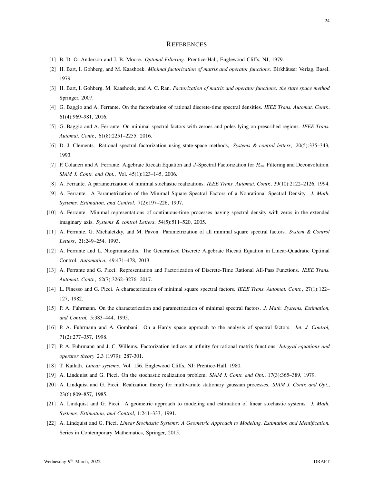#### **REFERENCES**

- [1] B. D. O. Anderson and J. B. Moore. *Optimal Filtering.* Prentice-Hall, Englewood Cliffs, NJ, 1979.
- [2] H. Bart, I. Gohberg, and M. Kaashoek. *Minimal factorization of matrix and operator functions*. Birkhäuser Verlag, Basel, 1979.
- [3] H. Bart, I. Gohberg, M. Kaashoek, and A. C. Ran. *Factorization of matrix and operator functions: the state space method* Springer, 2007.
- [4] G. Baggio and A. Ferrante. On the factorization of rational discrete-time spectral densities. *IEEE Trans. Automat. Contr.*, 61(4):969–981, 2016.
- [5] G. Baggio and A. Ferrante. On minimal spectral factors with zeroes and poles lying on prescribed regions. *IEEE Trans. Automat. Contr.*, 61(8):2251–2255, 2016.
- [6] D. J. Clements. Rational spectral factorization using state-space methods, *Systems & control letters*, 20(5):335–343, 1993.
- [7] P. Colaneri and A. Ferrante. Algebraic Riccati Equation and J-Spectral Factorization for H<sup>∞</sup> Filtering and Deconvolution. *SIAM J. Contr. and Opt.*, Vol. 45(1):123–145, 2006.
- [8] A. Ferrante. A parametrization of minimal stochastic realizations. *IEEE Trans. Automat. Contr.*, 39(10):2122–2126, 1994.
- [9] A. Ferrante. A Parametrization of the Minimal Square Spectral Factors of a Nonrational Spectral Density. *J. Math. Systems, Estimation, and Control*, 7(2):197–226, 1997.
- [10] A. Ferrante. Minimal representations of continuous-time processes having spectral density with zeros in the extended imaginary axis. *Systems & control Letters*, 54(5):511–520, 2005.
- [11] A. Ferrante, G. Michaletzky, and M. Pavon. Parametrization of all minimal square spectral factors. *System & Control Letters*, 21:249–254, 1993.
- [12] A. Ferrante and L. Ntogramatzidis. The Generalised Discrete Algebraic Riccati Equation in Linear-Quadratic Optimal Control. *Automatica*, 49:471–478, 2013.
- [13] A. Ferrante and G. Picci. Representation and Factorization of Discrete-Time Rational All-Pass Functions. *IEEE Trans. Automat. Contr.*, 62(7):3262–3276, 2017.
- [14] L. Finesso and G. Picci. A characterization of minimal square spectral factors. *IEEE Trans. Automat. Contr.*, 27(1):122– 127, 1982.
- [15] P. A. Fuhrmann. On the characterization and parametrization of minimal spectral factors. *J. Math. Systems, Estimation, and Control,* 5:383–444, 1995.
- [16] P. A. Fuhrmann and A. Gombani. On a Hardy space approach to the analysis of spectral factors. *Int. J. Control,* 71(2):277–357, 1998.
- [17] P. A. Fuhrmann and J. C. Willems. Factorization indices at infinity for rational matrix functions. *Integral equations and operator theory* 2.3 (1979): 287-301.
- [18] T. Kailath. *Linear systems*. Vol. 156. Englewood Cliffs, NJ: Prentice-Hall, 1980.
- [19] A. Lindquist and G. Picci. On the stochastic realization problem. *SIAM J. Contr. and Opt.*, 17(3):365–389, 1979.
- [20] A. Lindquist and G. Picci. Realization theory for multivariate stationary gaussian processes. *SIAM J. Contr. and Opt.*, 23(6):809–857, 1985.
- [21] A. Lindquist and G. Picci. A geometric approach to modeling and estimation of linear stochastic systems. *J. Math. Systems, Estimation, and Control*, 1:241–333, 1991.
- [22] A. Lindquist and G. Picci. *Linear Stochastic Systems: A Geometric Approach to Modeling, Estimation and Identification.* Series in Contemporary Mathematics, Springer, 2015.